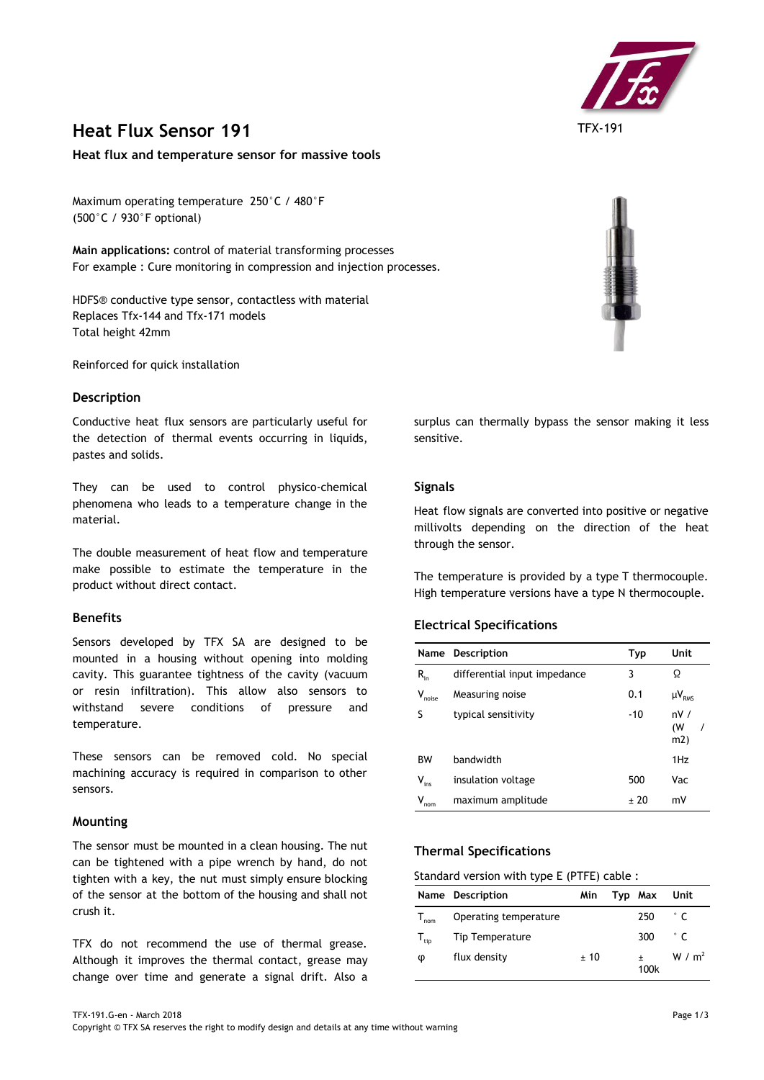

# **Heat Flux Sensor 191**

### **Heat flux and temperature sensor for massive tools**

Maximum operating temperature 250°C / 480°F (500°C / 930°F optional)

**Main applications:** control of material transforming processes For example : Cure monitoring in compression and injection processes.

HDFS® conductive type sensor, contactless with material Replaces Tfx-144 and Tfx-171 models Total height 42mm

Reinforced for quick installation

#### **Description**

Conductive heat flux sensors are particularly useful for the detection of thermal events occurring in liquids, pastes and solids.

They can be used to control physico-chemical phenomena who leads to a temperature change in the material.

The double measurement of heat flow and temperature make possible to estimate the temperature in the product without direct contact.

## **Benefits**

Sensors developed by TFX SA are designed to be mounted in a housing without opening into molding cavity. This guarantee tightness of the cavity (vacuum or resin infiltration). This allow also sensors to withstand severe conditions of pressure and temperature.

These sensors can be removed cold. No special machining accuracy is required in comparison to other sensors.

#### **Mounting**

The sensor must be mounted in a clean housing. The nut can be tightened with a pipe wrench by hand, do not tighten with a key, the nut must simply ensure blocking of the sensor at the bottom of the housing and shall not crush it.

TFX do not recommend the use of thermal grease. Although it improves the thermal contact, grease may change over time and generate a signal drift. Also a



surplus can thermally bypass the sensor making it less sensitive.

#### **Signals**

Heat flow signals are converted into positive or negative millivolts depending on the direction of the heat through the sensor.

The temperature is provided by a type T thermocouple. High temperature versions have a type N thermocouple.

#### **Electrical Specifications**

| Name        | Description                  | <b>Typ</b> | Unit             |
|-------------|------------------------------|------------|------------------|
| $R_{in}$    | differential input impedance | 3          | Ω                |
| $V_{noise}$ | Measuring noise              | 0.1        | $\mu V_{RMS}$    |
| S           | typical sensitivity          | $-10$      | nV/<br>(W<br>m2) |
| <b>BW</b>   | bandwidth                    |            | 1Hz              |
| $V_{ins}$   | insulation voltage           | 500        | Vac              |
| ٧<br>nom    | maximum amplitude            | + 20       | mV               |

## **Thermal Specifications**

### Standard version with type E (PTFE) cable :

|                             | Name Description       | Min | Typ Max | Unit        |
|-----------------------------|------------------------|-----|---------|-------------|
| $\mathsf{I}_{\mathsf{nom}}$ | Operating temperature  |     | 250     | $\degree$ C |
| $T_{\text{tip}}$            | <b>Tip Temperature</b> |     | 300     | $\degree$ C |
| Φ                           | flux density           | ±10 | 100k    | W / $m2$    |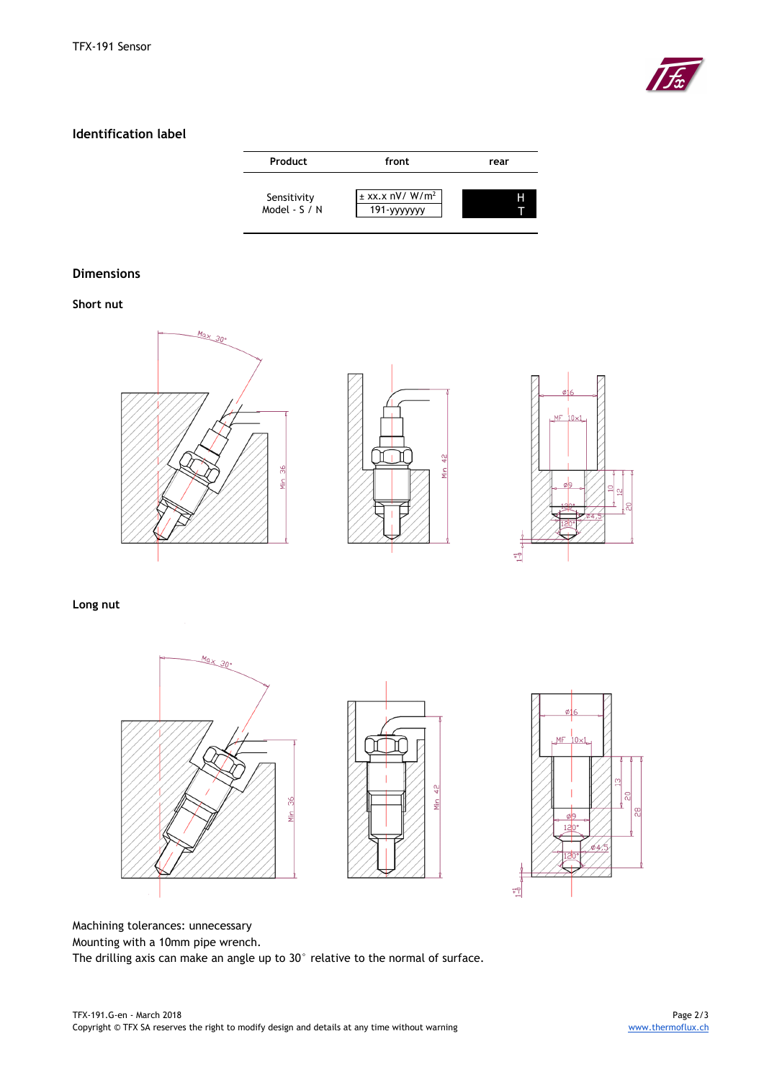

# **Identification label**

| Product                      | front                                         | rear |  |  |
|------------------------------|-----------------------------------------------|------|--|--|
| Sensitivity<br>Model - S / N | $\pm$ xx.x nV/W/m <sup>2</sup><br>191-yyyyyyy | Н    |  |  |

# **Dimensions**

# **Short nut**



## **Long nut**







Machining tolerances: unnecessary Mounting with a 10mm pipe wrench.

The drilling axis can make an angle up to 30° relative to the normal of surface.